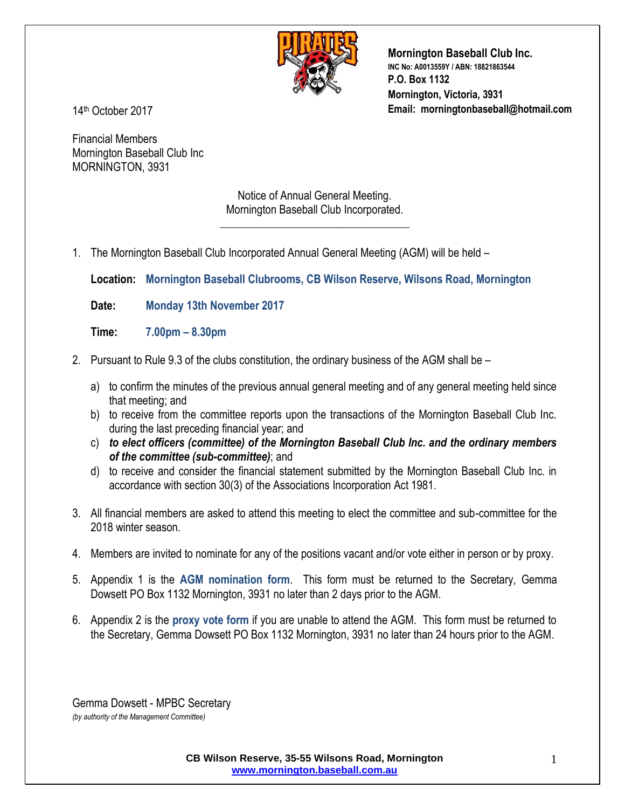

**Mornington Baseball Club Inc. INC No: A0013559Y / ABN: 18821863544 P.O. Box 1132 Mornington, Victoria, 3931 Email: morningtonbaseball@hotmail.com**

14 th October 2017

Financial Members Mornington Baseball Club Inc MORNINGTON, 3931

> Notice of Annual General Meeting. Mornington Baseball Club Incorporated.

\_\_\_\_\_\_\_\_\_\_\_\_\_\_\_\_\_\_\_\_\_\_\_\_\_\_\_\_\_\_\_\_\_\_\_\_\_

1. The Mornington Baseball Club Incorporated Annual General Meeting (AGM) will be held –

**Location: Mornington Baseball Clubrooms, CB Wilson Reserve, Wilsons Road, Mornington**

**Date: Monday 13th November 2017**

- **Time: 7.00pm – 8.30pm**
- 2. Pursuant to Rule 9.3 of the clubs constitution, the ordinary business of the AGM shall be
	- a) to confirm the minutes of the previous annual general meeting and of any general meeting held since that meeting; and
	- b) to receive from the committee reports upon the transactions of the Mornington Baseball Club Inc. during the last preceding financial year; and
	- c) *to elect officers (committee) of the Mornington Baseball Club Inc. and the ordinary members of the committee (sub-committee)*; and
	- d) to receive and consider the financial statement submitted by the Mornington Baseball Club Inc. in accordance with section 30(3) of the Associations Incorporation Act 1981.
- 3. All financial members are asked to attend this meeting to elect the committee and sub-committee for the 2018 winter season.
- 4. Members are invited to nominate for any of the positions vacant and/or vote either in person or by proxy.
- 5. Appendix 1 is the **AGM nomination form**. This form must be returned to the Secretary, Gemma Dowsett PO Box 1132 Mornington, 3931 no later than 2 days prior to the AGM.
- 6. Appendix 2 is the **proxy vote form** if you are unable to attend the AGM. This form must be returned to the Secretary, Gemma Dowsett PO Box 1132 Mornington, 3931 no later than 24 hours prior to the AGM.

Gemma Dowsett - MPBC Secretary *(by authority of the Management Committee)*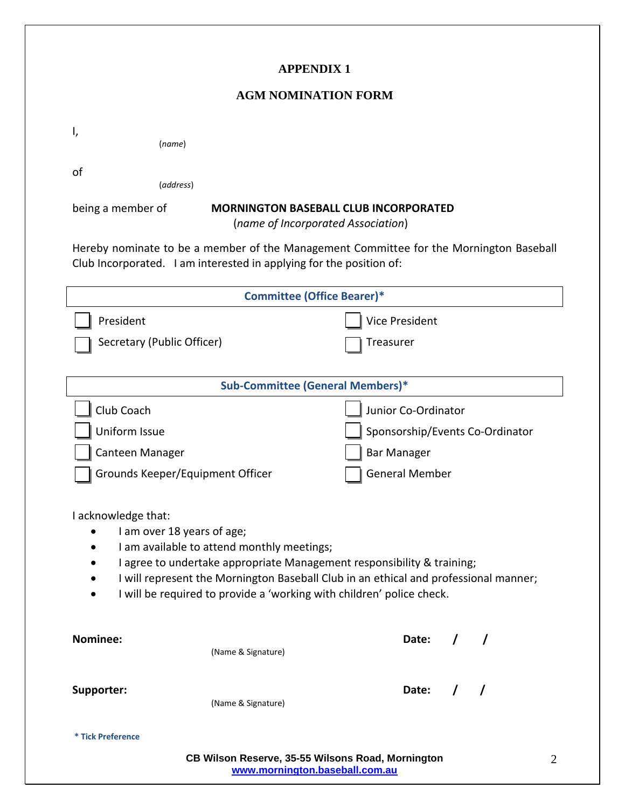### **APPENDIX 1**

#### **AGM NOMINATION FORM**

| I,                                                                                                                                                                                                                                                                                                                                         | (name)                            |                                 |  |  |
|--------------------------------------------------------------------------------------------------------------------------------------------------------------------------------------------------------------------------------------------------------------------------------------------------------------------------------------------|-----------------------------------|---------------------------------|--|--|
| οf                                                                                                                                                                                                                                                                                                                                         | (address)                         |                                 |  |  |
| being a member of<br><b>MORNINGTON BASEBALL CLUB INCORPORATED</b><br>(name of Incorporated Association)                                                                                                                                                                                                                                    |                                   |                                 |  |  |
| Hereby nominate to be a member of the Management Committee for the Mornington Baseball<br>Club Incorporated. I am interested in applying for the position of:                                                                                                                                                                              |                                   |                                 |  |  |
|                                                                                                                                                                                                                                                                                                                                            | <b>Committee (Office Bearer)*</b> |                                 |  |  |
| President                                                                                                                                                                                                                                                                                                                                  |                                   | Vice President                  |  |  |
|                                                                                                                                                                                                                                                                                                                                            | Secretary (Public Officer)        | Treasurer                       |  |  |
|                                                                                                                                                                                                                                                                                                                                            |                                   |                                 |  |  |
| Sub-Committee (General Members)*                                                                                                                                                                                                                                                                                                           |                                   |                                 |  |  |
| Club Coach                                                                                                                                                                                                                                                                                                                                 |                                   | Junior Co-Ordinator             |  |  |
| Uniform Issue                                                                                                                                                                                                                                                                                                                              |                                   | Sponsorship/Events Co-Ordinator |  |  |
| Canteen Manager                                                                                                                                                                                                                                                                                                                            |                                   | <b>Bar Manager</b>              |  |  |
|                                                                                                                                                                                                                                                                                                                                            | Grounds Keeper/Equipment Officer  | <b>General Member</b>           |  |  |
| I acknowledge that:<br>I am over 18 years of age;<br>I am available to attend monthly meetings;<br>I agree to undertake appropriate Management responsibility & training;<br>I will represent the Mornington Baseball Club in an ethical and professional manner;<br>I will be required to provide a 'working with children' police check. |                                   |                                 |  |  |
| Nominee:                                                                                                                                                                                                                                                                                                                                   | (Name & Signature)                | Date:                           |  |  |
| Supporter:                                                                                                                                                                                                                                                                                                                                 | (Name & Signature)                | Date:<br>$\sqrt{ }$<br>$\prime$ |  |  |
| * Tick Preference                                                                                                                                                                                                                                                                                                                          |                                   |                                 |  |  |
| CB Wilson Reserve, 35-55 Wilsons Road, Mornington<br>$\overline{2}$<br>www.mornington.baseball.com.au                                                                                                                                                                                                                                      |                                   |                                 |  |  |